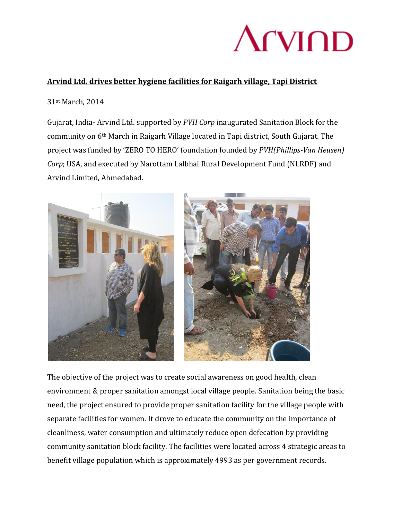

### **Arvind Ltd. drives better hygiene facilities for Raigarh village, Tapi District**

#### 31st March, 2014

Gujarat, India- Arvind Ltd. supported by *PVH Corp* inaugurated Sanitation Block for the community on 6th March in Raigarh Village located in Tapi district, South Gujarat. The project was funded by 'ZERO TO HERO' foundation founded by *PVH(Phillips-Van Heusen) Corp*; USA, and executed by Narottam Lalbhai Rural Development Fund (NLRDF) and Arvind Limited, Ahmedabad.



The objective of the project was to create social awareness on good health, clean environment & proper sanitation amongst local village people. Sanitation being the basic need, the project ensured to provide proper sanitation facility for the village people with separate facilities for women. It drove to educate the community on the importance of cleanliness, water consumption and ultimately reduce open defecation by providing community sanitation block facility. The facilities were located across 4 strategic areas to benefit village population which is approximately 4993 as per government records.